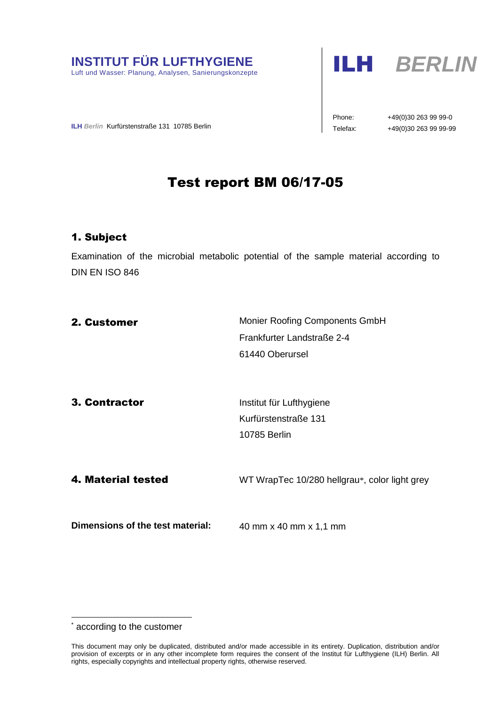



Phone: +49(0)30 263 99 99-0

**ILH** Berlin Kurfürstenstraße 131 10785 Berlin **Telefax:** +49(0)30 263 99 99-99

# Test report BM 06/17-05

## 1. Subject

Examination of the microbial metabolic potential of the sample material according to DIN EN ISO 846

| 2. Customer                      | Monier Roofing Components GmbH                |  |
|----------------------------------|-----------------------------------------------|--|
|                                  | Frankfurter Landstraße 2-4                    |  |
|                                  | 61440 Oberursel                               |  |
|                                  |                                               |  |
| 3. Contractor                    | Institut für Lufthygiene                      |  |
|                                  | Kurfürstenstraße 131                          |  |
|                                  | <b>10785 Berlin</b>                           |  |
|                                  |                                               |  |
| 4. Material tested               | WT WrapTec 10/280 hellgrau*, color light grey |  |
|                                  |                                               |  |
| Dimensions of the test material: | 40 mm x 40 mm x 1,1 mm                        |  |
|                                  |                                               |  |

according to the customer

-

This document may only be duplicated, distributed and/or made accessible in its entirety. Duplication, distribution and/or provision of excerpts or in any other incomplete form requires the consent of the Institut für Lufthygiene (ILH) Berlin. All rights, especially copyrights and intellectual property rights, otherwise reserved.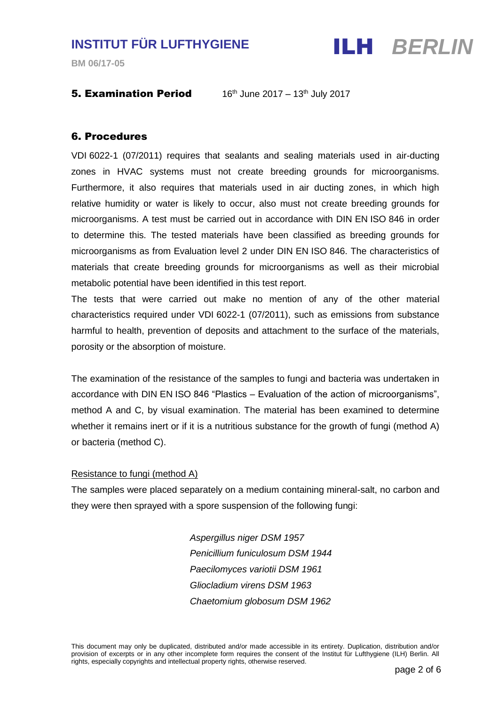

**BM 06/17-05**

#### **5. Examination Period** 16<sup>th</sup> June 2017 – 13<sup>th</sup> July 2017

#### 6. Procedures

VDI 6022-1 (07/2011) requires that sealants and sealing materials used in air-ducting zones in HVAC systems must not create breeding grounds for microorganisms. Furthermore, it also requires that materials used in air ducting zones, in which high relative humidity or water is likely to occur, also must not create breeding grounds for microorganisms. A test must be carried out in accordance with DIN EN ISO 846 in order to determine this. The tested materials have been classified as breeding grounds for microorganisms as from Evaluation level 2 under DIN EN ISO 846. The characteristics of materials that create breeding grounds for microorganisms as well as their microbial metabolic potential have been identified in this test report.

The tests that were carried out make no mention of any of the other material characteristics required under VDI 6022-1 (07/2011), such as emissions from substance harmful to health, prevention of deposits and attachment to the surface of the materials, porosity or the absorption of moisture.

The examination of the resistance of the samples to fungi and bacteria was undertaken in accordance with DIN EN ISO 846 "Plastics – Evaluation of the action of microorganisms", method A and C, by visual examination. The material has been examined to determine whether it remains inert or if it is a nutritious substance for the growth of fungi (method A) or bacteria (method C).

#### Resistance to fungi (method A)

The samples were placed separately on a medium containing mineral-salt, no carbon and they were then sprayed with a spore suspension of the following fungi:

> *Aspergillus niger DSM 1957 Penicillium funiculosum DSM 1944 Paecilomyces variotii DSM 1961 Gliocladium virens DSM 1963 Chaetomium globosum DSM 1962*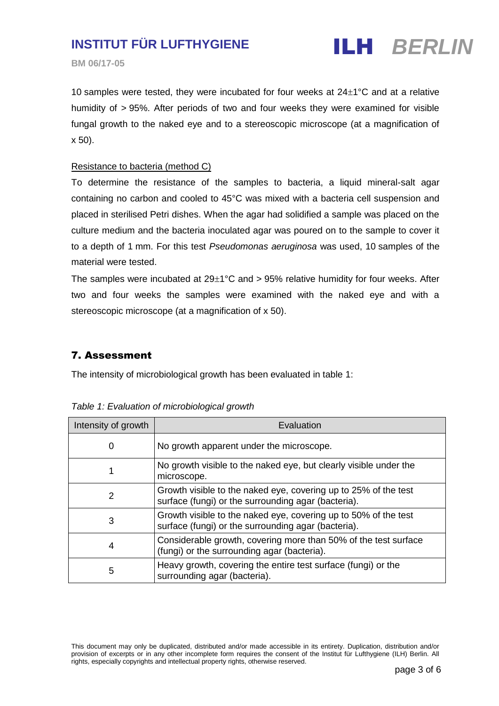

**BM 06/17-05**

10 samples were tested, they were incubated for four weeks at  $24\pm1\degree C$  and at a relative humidity of > 95%. After periods of two and four weeks they were examined for visible fungal growth to the naked eye and to a stereoscopic microscope (at a magnification of x 50).

#### Resistance to bacteria (method C)

To determine the resistance of the samples to bacteria, a liquid mineral-salt agar containing no carbon and cooled to 45°C was mixed with a bacteria cell suspension and placed in sterilised Petri dishes. When the agar had solidified a sample was placed on the culture medium and the bacteria inoculated agar was poured on to the sample to cover it to a depth of 1 mm. For this test *Pseudomonas aeruginosa* was used, 10 samples of the material were tested.

The samples were incubated at  $29\pm1\textdegree C$  and  $> 95\%$  relative humidity for four weeks. After two and four weeks the samples were examined with the naked eye and with a stereoscopic microscope (at a magnification of x 50).

### 7. Assessment

The intensity of microbiological growth has been evaluated in table 1:

| Intensity of growth | Evaluation                                                                                                             |  |
|---------------------|------------------------------------------------------------------------------------------------------------------------|--|
| 0                   | No growth apparent under the microscope.                                                                               |  |
| 1                   | No growth visible to the naked eye, but clearly visible under the<br>microscope.                                       |  |
| 2                   | Growth visible to the naked eye, covering up to 25% of the test<br>surface (fungi) or the surrounding agar (bacteria). |  |
| 3                   | Growth visible to the naked eye, covering up to 50% of the test<br>surface (fungi) or the surrounding agar (bacteria). |  |
| 4                   | Considerable growth, covering more than 50% of the test surface<br>(fungi) or the surrounding agar (bacteria).         |  |
| 5                   | Heavy growth, covering the entire test surface (fungi) or the<br>surrounding agar (bacteria).                          |  |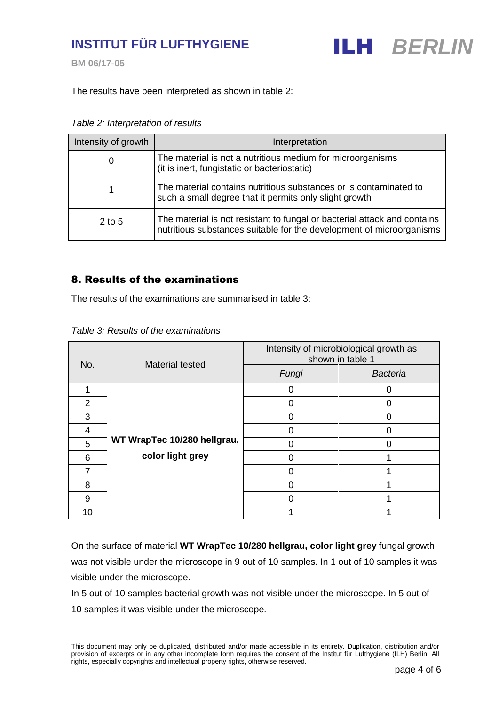**BM 06/17-05**



The results have been interpreted as shown in table 2:

*Table 2: Interpretation of results*

| Intensity of growth | Interpretation                                                                                                                                   |  |
|---------------------|--------------------------------------------------------------------------------------------------------------------------------------------------|--|
| 0                   | The material is not a nutritious medium for microorganisms<br>(it is inert, fungistatic or bacteriostatic)                                       |  |
|                     | The material contains nutritious substances or is contaminated to<br>such a small degree that it permits only slight growth                      |  |
| $2$ to 5            | The material is not resistant to fungal or bacterial attack and contains<br>nutritious substances suitable for the development of microorganisms |  |

## 8. Results of the examinations

The results of the examinations are summarised in table 3:

| Table 3: Results of the examinations |  |  |
|--------------------------------------|--|--|
|--------------------------------------|--|--|

| No.           | Material tested             | Intensity of microbiological growth as<br>shown in table 1 |                 |
|---------------|-----------------------------|------------------------------------------------------------|-----------------|
|               |                             | Fungi                                                      | <b>Bacteria</b> |
|               |                             | 0                                                          |                 |
| $\mathcal{P}$ |                             |                                                            |                 |
| 3             |                             |                                                            |                 |
| 4             |                             |                                                            |                 |
| 5             | WT WrapTec 10/280 hellgrau, |                                                            |                 |
| 6             | color light grey            |                                                            |                 |
|               |                             |                                                            |                 |
| 8             |                             |                                                            |                 |
| 9             |                             |                                                            |                 |
| 10            |                             |                                                            |                 |

On the surface of material **WT WrapTec 10/280 hellgrau, color light grey** fungal growth was not visible under the microscope in 9 out of 10 samples. In 1 out of 10 samples it was visible under the microscope.

In 5 out of 10 samples bacterial growth was not visible under the microscope. In 5 out of 10 samples it was visible under the microscope.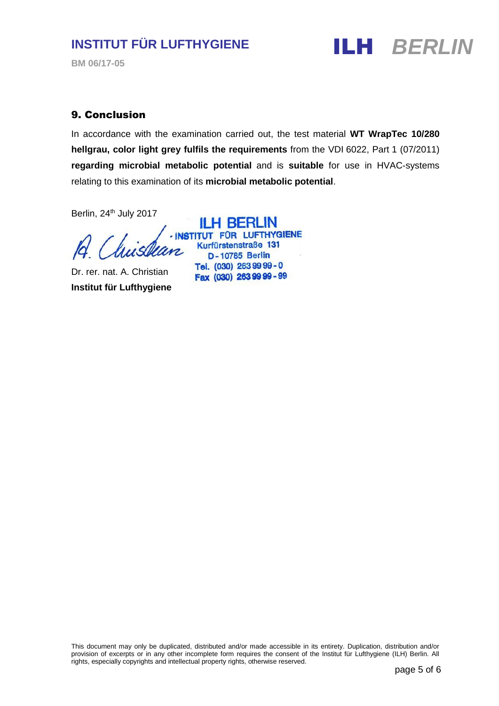**BM 06/17-05**



#### 9. Conclusion

In accordance with the examination carried out, the test material **WT WrapTec 10/280 hellgrau, color light grey fulfils the requirements** from the VDI 6022, Part 1 (07/2011) **regarding microbial metabolic potential** and is **suitable** for use in HVAC-systems relating to this examination of its **microbial metabolic potential**.

Berlin, 24<sup>th</sup> July 2017

Dr. rer. nat. A. Christian **Institut für Lufthygiene**

**ILH BERLIN** - INSTITUT FÜR LUFTHYGIENE Kurfürstenstraße 131 **D-10785 Berlin** Tel. (030) 263 99 99 - 0 Fax (030) 263 99 99 - 99

This document may only be duplicated, distributed and/or made accessible in its entirety. Duplication, distribution and/or provision of excerpts or in any other incomplete form requires the consent of the Institut für Lufthygiene (ILH) Berlin. All rights, especially copyrights and intellectual property rights, otherwise reserved.